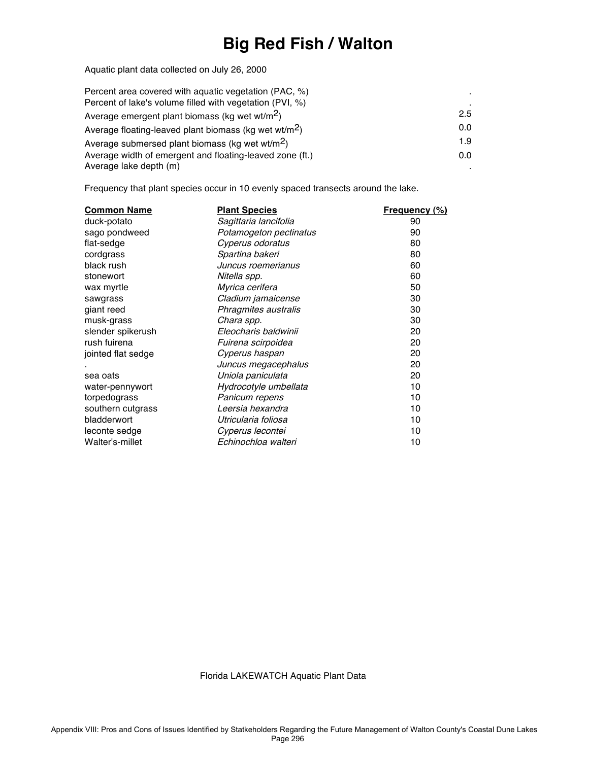# **Big Red Fish / Walton**

Aquatic plant data collected on July 26, 2000

| Percent area covered with aquatic vegetation (PAC, %)             |     |
|-------------------------------------------------------------------|-----|
| Percent of lake's volume filled with vegetation (PVI, %)          |     |
| Average emergent plant biomass (kg wet wt/m <sup>2</sup> )        | 2.5 |
| Average floating-leaved plant biomass (kg wet wt/m <sup>2</sup> ) | 0.0 |
| Average submersed plant biomass (kg wet wt/m <sup>2</sup> )       | 1.9 |
| Average width of emergent and floating-leaved zone (ft.)          | 0.0 |
| Average lake depth (m)                                            |     |

Frequency that plant species occur in 10 evenly spaced transects around the lake.

| <b>Common Name</b> | <b>Plant Species</b>   | <u>Frequency (%)</u> |
|--------------------|------------------------|----------------------|
| duck-potato        | Sagittaria lancifolia  | 90                   |
| sago pondweed      | Potamogeton pectinatus | 90                   |
| flat-sedge         | Cyperus odoratus       | 80                   |
| cordgrass          | Spartina bakeri        | 80                   |
| black rush         | Juncus roemerianus     | 60                   |
| stonewort          | Nitella spp.           | 60                   |
| wax myrtle         | Myrica cerifera        | 50                   |
| sawgrass           | Cladium jamaicense     | 30                   |
| giant reed         | Phragmites australis   | 30                   |
| musk-grass         | Chara spp.             | 30                   |
| slender spikerush  | Eleocharis baldwinii   | 20                   |
| rush fuirena       | Fuirena scirpoidea     | 20                   |
| jointed flat sedge | Cyperus haspan         | 20                   |
|                    | Juncus megacephalus    | 20                   |
| sea oats           | Uniola paniculata      | 20                   |
| water-pennywort    | Hydrocotyle umbellata  | 10                   |
| torpedograss       | Panicum repens         | 10                   |
| southern cutgrass  | Leersia hexandra       | 10                   |
| bladderwort        | Utricularia foliosa    | 10                   |
| leconte sedge      | Cyperus lecontei       | 10                   |
| Walter's-millet    | Echinochloa walteri    | 10                   |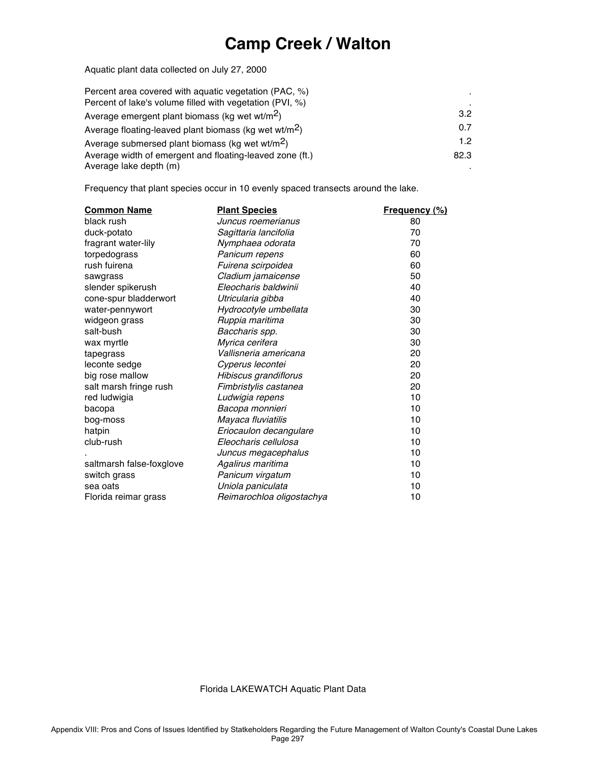### **Camp Creek / Walton**

Aquatic plant data collected on July 27, 2000

| Percent area covered with aguatic vegetation (PAC, %)             |                  |
|-------------------------------------------------------------------|------------------|
| Percent of lake's volume filled with vegetation (PVI, %)          |                  |
| Average emergent plant biomass (kg wet wt/m <sup>2</sup> )        | 3.2 <sub>2</sub> |
| Average floating-leaved plant biomass (kg wet wt/m <sup>2</sup> ) | 0.7              |
| Average submersed plant biomass (kg wet wt/m <sup>2</sup> )       | 12               |
| Average width of emergent and floating-leaved zone (ft.)          | 82.3             |
| Average lake depth (m)                                            |                  |

Frequency that plant species occur in 10 evenly spaced transects around the lake.

| <b>Common Name</b>       | <b>Plant Species</b>      | <u>Frequency (%)</u> |
|--------------------------|---------------------------|----------------------|
| black rush               | Juncus roemerianus        | 80                   |
| duck-potato              | Sagittaria lancifolia     | 70                   |
| fragrant water-lily      | Nymphaea odorata          | 70                   |
| torpedograss             | Panicum repens            | 60                   |
| rush fuirena             | Fuirena scirpoidea        | 60                   |
| sawgrass                 | Cladium jamaicense        | 50                   |
| slender spikerush        | Eleocharis baldwinii      | 40                   |
| cone-spur bladderwort    | Utricularia gibba         | 40                   |
| water-pennywort          | Hydrocotyle umbellata     | 30                   |
| widgeon grass            | Ruppia maritima           | 30                   |
| salt-bush                | Baccharis spp.            | 30                   |
| wax myrtle               | Myrica cerifera           | 30                   |
| tapegrass                | Vallisneria americana     | 20                   |
| leconte sedge            | Cyperus lecontei          | 20                   |
| big rose mallow          | Hibiscus grandiflorus     | 20                   |
| salt marsh fringe rush   | Fimbristylis castanea     | 20                   |
| red ludwigia             | Ludwigia repens           | 10                   |
| bacopa                   | Bacopa monnieri           | 10                   |
| bog-moss                 | Mayaca fluviatilis        | 10                   |
| hatpin                   | Eriocaulon decangulare    | 10                   |
| club-rush                | Eleocharis cellulosa      | 10                   |
|                          | Juncus megacephalus       | 10                   |
| saltmarsh false-foxglove | Agalirus maritima         | 10                   |
| switch grass             | Panicum virgatum          | 10                   |
| sea oats                 | Uniola paniculata         | 10                   |
| Florida reimar grass     | Reimarochloa oligostachya | 10                   |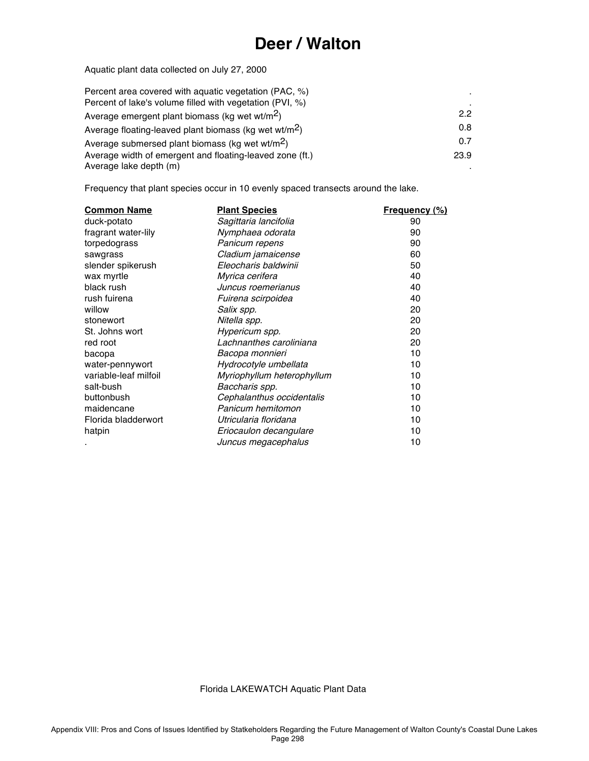#### **Deer / Walton**

Aquatic plant data collected on July 27, 2000

| Percent area covered with aquatic vegetation (PAC, %)             |      |
|-------------------------------------------------------------------|------|
| Percent of lake's volume filled with vegetation (PVI, %)          |      |
| Average emergent plant biomass (kg wet wt/m <sup>2</sup> )        | 22   |
| Average floating-leaved plant biomass (kg wet wt/m <sup>2</sup> ) | 0.8  |
| Average submersed plant biomass (kg wet wt/m <sup>2</sup> )       | 0.7  |
| Average width of emergent and floating-leaved zone (ft.)          | 23.9 |
| Average lake depth (m)                                            |      |

Frequency that plant species occur in 10 evenly spaced transects around the lake.

| <b>Common Name</b>    | <b>Plant Species</b>       | Frequency (%) |
|-----------------------|----------------------------|---------------|
| duck-potato           | Sagittaria lancifolia      | 90            |
| fragrant water-lily   | Nymphaea odorata           | 90            |
| torpedograss          | Panicum repens             | 90            |
| sawgrass              | Cladium jamaicense         | 60            |
| slender spikerush     | Eleocharis baldwinii       | 50            |
| wax myrtle            | Myrica cerifera            | 40            |
| black rush            | Juncus roemerianus         | 40            |
| rush fuirena          | Fuirena scirpoidea         | 40            |
| willow                | Salix spp.                 | 20            |
| stonewort             | Nitella spp.               | 20            |
| St. Johns wort        | Hypericum spp.             | 20            |
| red root              | Lachnanthes caroliniana    | 20            |
| bacopa                | Bacopa monnieri            | 10            |
| water-pennywort       | Hydrocotyle umbellata      | 10            |
| variable-leaf milfoil | Myriophyllum heterophyllum | 10            |
| salt-bush             | Baccharis spp.             | 10            |
| buttonbush            | Cephalanthus occidentalis  | 10            |
| maidencane            | Panicum hemitomon          | 10            |
| Florida bladderwort   | Utricularia floridana      | 10            |
| hatpin                | Eriocaulon decangulare     | 10            |
|                       | Juncus megacephalus        | 10            |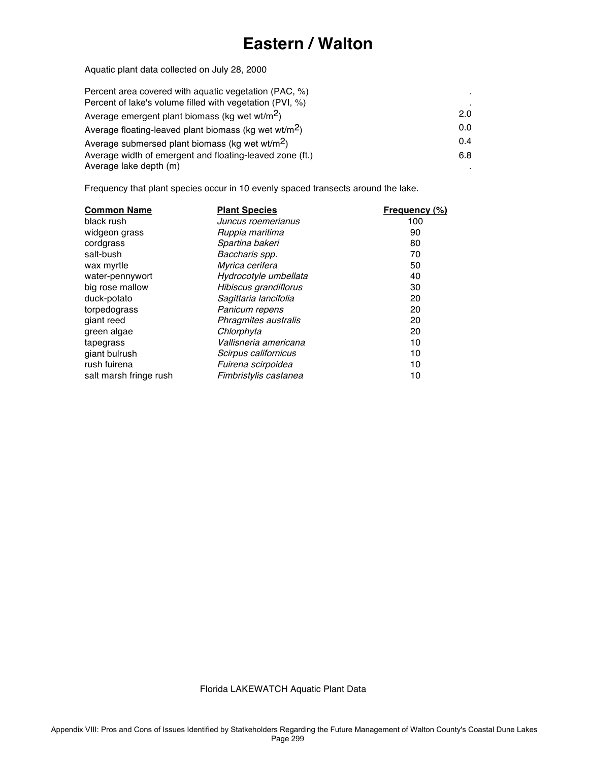# **Eastern / Walton**

Aquatic plant data collected on July 28, 2000

| Percent area covered with aguatic vegetation (PAC, %)             |     |
|-------------------------------------------------------------------|-----|
| Percent of lake's volume filled with vegetation (PVI, %)          |     |
| Average emergent plant biomass (kg wet wt/m <sup>2</sup> )        | 2.0 |
| Average floating-leaved plant biomass (kg wet wt/m <sup>2</sup> ) | 0.0 |
| Average submersed plant biomass (kg wet wt/m <sup>2</sup> )       | 0.4 |
| Average width of emergent and floating-leaved zone (ft.)          | 6.8 |
| Average lake depth (m)                                            |     |

Frequency that plant species occur in 10 evenly spaced transects around the lake.

| <b>Common Name</b>     | <b>Plant Species</b>  | <b>Frequency (%)</b> |
|------------------------|-----------------------|----------------------|
| black rush             | Juncus roemerianus    | 100                  |
| widgeon grass          | Ruppia maritima       | 90                   |
| cordgrass              | Spartina bakeri       | 80                   |
| salt-bush              | Baccharis spp.        | 70                   |
| wax myrtle             | Myrica cerifera       | 50                   |
| water-pennywort        | Hydrocotyle umbellata | 40                   |
| big rose mallow        | Hibiscus grandiflorus | 30                   |
| duck-potato            | Sagittaria lancifolia | 20                   |
| torpedograss           | Panicum repens        | 20                   |
| giant reed             | Phragmites australis  | 20                   |
| green algae            | Chlorphyta            | 20                   |
| tapegrass              | Vallisneria americana | 10                   |
| giant bulrush          | Scirpus californicus  | 10                   |
| rush fuirena           | Fuirena scirpoidea    | 10                   |
| salt marsh fringe rush | Fimbristylis castanea | 10                   |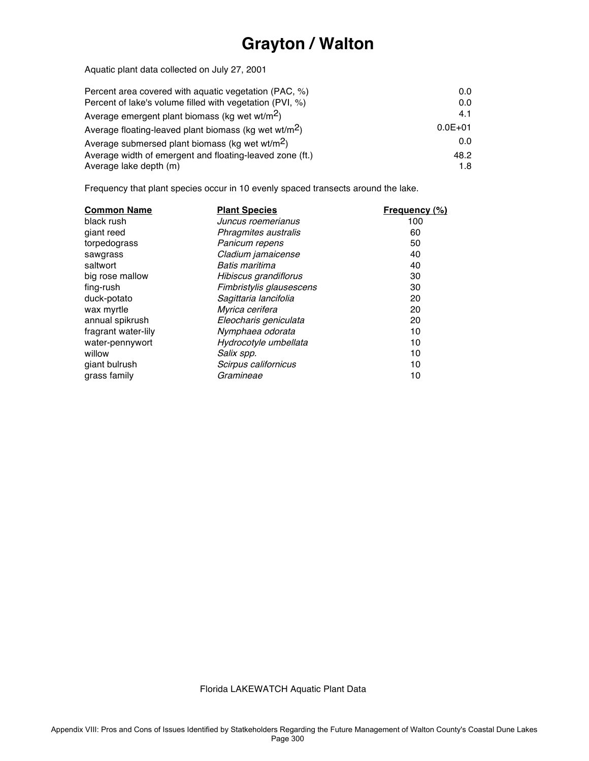# **Grayton / Walton**

Aquatic plant data collected on July 27, 2001

| Percent area covered with aguatic vegetation (PAC, %)             | 0.0         |
|-------------------------------------------------------------------|-------------|
| Percent of lake's volume filled with vegetation (PVI, %)          | 0.0         |
| Average emergent plant biomass (kg wet wt/m <sup>2</sup> )        | 4.1         |
| Average floating-leaved plant biomass (kg wet wt/m <sup>2</sup> ) | $0.0E + 01$ |
| Average submersed plant biomass (kg wet wt/m <sup>2</sup> )       | 0.0         |
| Average width of emergent and floating-leaved zone (ft.)          | 48.2        |
| Average lake depth (m)                                            | 1.8         |

Frequency that plant species occur in 10 evenly spaced transects around the lake.

| <b>Common Name</b>  | <b>Plant Species</b>     | <b>Frequency (%)</b> |
|---------------------|--------------------------|----------------------|
| black rush          | Juncus roemerianus       | 100                  |
| giant reed          | Phragmites australis     | 60                   |
| torpedograss        | Panicum repens           | 50                   |
| sawgrass            | Cladium jamaicense       | 40                   |
| saltwort            | Batis maritima           | 40                   |
| big rose mallow     | Hibiscus grandiflorus    | 30                   |
| fing-rush           | Fimbristylis glausescens | 30                   |
| duck-potato         | Sagittaria lancifolia    | 20                   |
| wax myrtle          | Myrica cerifera          | 20                   |
| annual spikrush     | Eleocharis geniculata    | 20                   |
| fragrant water-lily | Nymphaea odorata         | 10                   |
| water-pennywort     | Hydrocotyle umbellata    | 10                   |
| willow              | Salix spp.               | 10                   |
| giant bulrush       | Scirpus californicus     | 10                   |
| grass family        | Gramineae                | 10                   |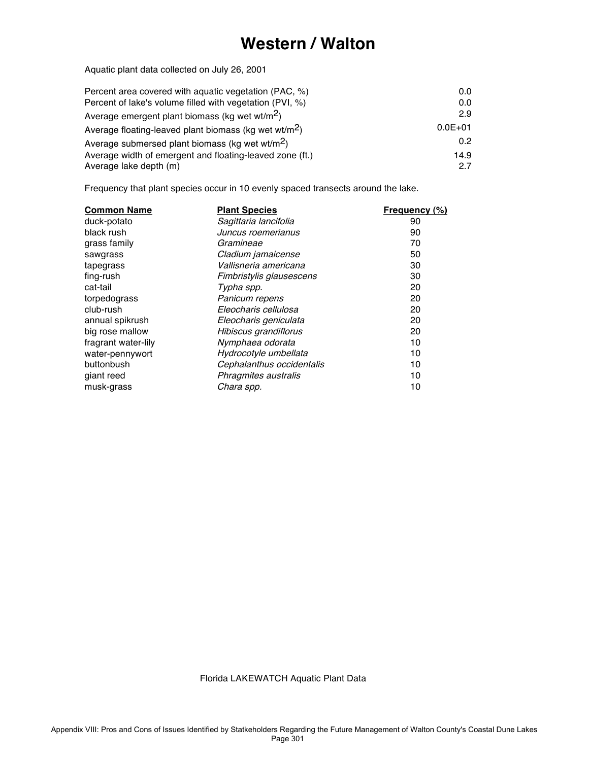### **Western / Walton**

Aquatic plant data collected on July 26, 2001

| Percent area covered with aguatic vegetation (PAC, %)             | 0.0              |
|-------------------------------------------------------------------|------------------|
| Percent of lake's volume filled with vegetation (PVI, %)          | 0.0              |
| Average emergent plant biomass (kg wet wt/m <sup>2</sup> )        | 2.9              |
| Average floating-leaved plant biomass (kg wet wt/m <sup>2</sup> ) | $0.0E + 01$      |
| Average submersed plant biomass (kg wet wt/m <sup>2</sup> )       | 0.2 <sub>0</sub> |
| Average width of emergent and floating-leaved zone (ft.)          | 14.9             |
| Average lake depth (m)                                            | 27               |

Frequency that plant species occur in 10 evenly spaced transects around the lake.

| <b>Common Name</b>  | <b>Plant Species</b>      | <b>Frequency (%)</b> |
|---------------------|---------------------------|----------------------|
| duck-potato         | Sagittaria lancifolia     | 90                   |
| black rush          | Juncus roemerianus        | 90                   |
| grass family        | Gramineae                 | 70                   |
| sawgrass            | Cladium jamaicense        | 50                   |
| tapegrass           | Vallisneria americana     | 30                   |
| fing-rush           | Fimbristylis glausescens  | 30                   |
| cat-tail            | Typha spp.                | 20                   |
| torpedograss        | Panicum repens            | 20                   |
| club-rush           | Eleocharis cellulosa      | 20                   |
| annual spikrush     | Eleocharis geniculata     | 20                   |
| big rose mallow     | Hibiscus grandiflorus     | 20                   |
| fragrant water-lily | Nymphaea odorata          | 10                   |
| water-pennywort     | Hydrocotyle umbellata     | 10                   |
| buttonbush          | Cephalanthus occidentalis | 10                   |
| giant reed          | Phragmites australis      | 10                   |
| musk-grass          | Chara spp.                | 10                   |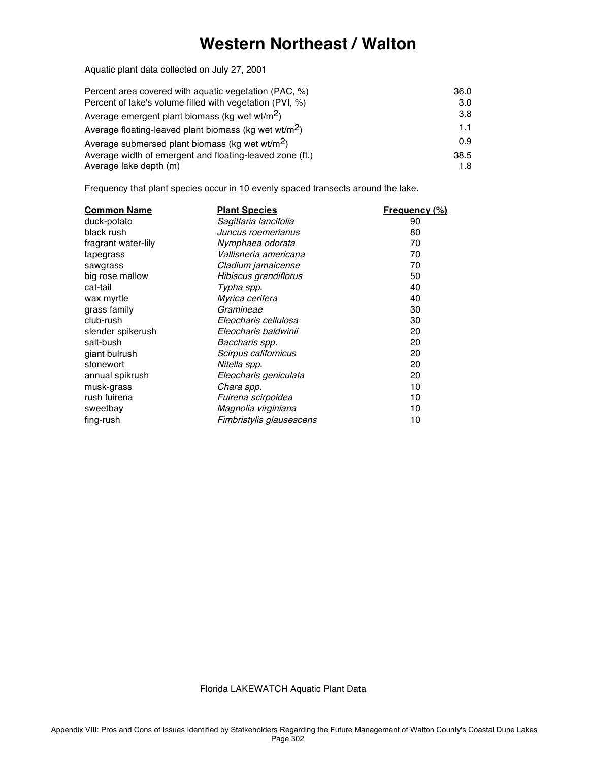#### **Western Northeast / Walton**

Aquatic plant data collected on July 27, 2001

| Percent area covered with aguatic vegetation (PAC, %)             | 36.0 |
|-------------------------------------------------------------------|------|
| Percent of lake's volume filled with vegetation (PVI, %)          | 3.0  |
| Average emergent plant biomass (kg wet wt/m <sup>2</sup> )        | 3.8  |
| Average floating-leaved plant biomass (kg wet wt/m <sup>2</sup> ) | 1.1  |
| Average submersed plant biomass (kg wet wt/m <sup>2</sup> )       | 0.9  |
| Average width of emergent and floating-leaved zone (ft.)          | 38.5 |
| Average lake depth (m)                                            | 1.8  |

Frequency that plant species occur in 10 evenly spaced transects around the lake.

| <b>Common Name</b>  | <b>Plant Species</b>     | <b>Frequency (%)</b> |
|---------------------|--------------------------|----------------------|
| duck-potato         | Sagittaria lancifolia    | 90                   |
| black rush          | Juncus roemerianus       | 80                   |
| fragrant water-lily | Nymphaea odorata         | 70                   |
| tapegrass           | Vallisneria americana    | 70                   |
| sawgrass            | Cladium jamaicense       | 70                   |
| big rose mallow     | Hibiscus grandiflorus    | 50                   |
| cat-tail            | Typha spp.               | 40                   |
| wax myrtle          | Myrica cerifera          | 40                   |
| grass family        | Gramineae                | 30                   |
| club-rush           | Eleocharis cellulosa     | 30                   |
| slender spikerush   | Eleocharis baldwinii     | 20                   |
| salt-bush           | Baccharis spp.           | 20                   |
| giant bulrush       | Scirpus californicus     | 20                   |
| stonewort           | Nitella spp.             | 20                   |
| annual spikrush     | Eleocharis geniculata    | 20                   |
| musk-grass          | Chara spp.               | 10                   |
| rush fuirena        | Fuirena scirpoidea       | 10                   |
| sweetbay            | Magnolia virginiana      | 10                   |
| fing-rush           | Fimbristylis glausescens | 10                   |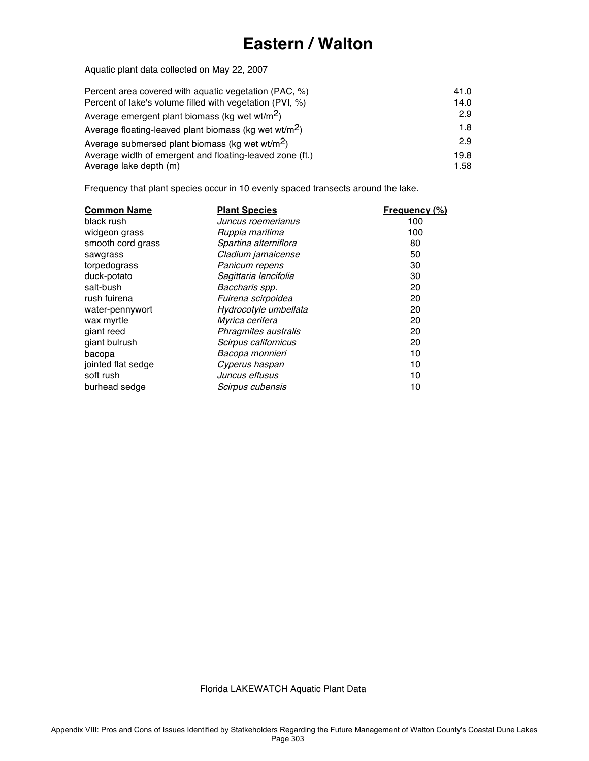# **Eastern / Walton**

Aquatic plant data collected on May 22, 2007

| Percent area covered with aguatic vegetation (PAC, %)             | 41.0 |
|-------------------------------------------------------------------|------|
| Percent of lake's volume filled with vegetation (PVI, %)          | 14.0 |
| Average emergent plant biomass (kg wet wt/m <sup>2</sup> )        | 2.9  |
| Average floating-leaved plant biomass (kg wet wt/m <sup>2</sup> ) | 1.8  |
| Average submersed plant biomass (kg wet wt/m <sup>2</sup> )       | 2.9  |
| Average width of emergent and floating-leaved zone (ft.)          | 19.8 |
| Average lake depth (m)                                            | 1.58 |

Frequency that plant species occur in 10 evenly spaced transects around the lake.

| <b>Common Name</b> | <b>Plant Species</b>  | <b>Frequency (%)</b> |
|--------------------|-----------------------|----------------------|
| black rush         | Juncus roemerianus    | 100                  |
| widgeon grass      | Ruppia maritima       | 100                  |
| smooth cord grass  | Spartina alterniflora | 80                   |
| sawgrass           | Cladium jamaicense    | 50                   |
| torpedograss       | Panicum repens        | 30                   |
| duck-potato        | Sagittaria lancifolia | 30                   |
| salt-bush          | Baccharis spp.        | 20                   |
| rush fuirena       | Fuirena scirpoidea    | 20                   |
| water-pennywort    | Hydrocotyle umbellata | 20                   |
| wax myrtle         | Myrica cerifera       | 20                   |
| giant reed         | Phragmites australis  | 20                   |
| giant bulrush      | Scirpus californicus  | 20                   |
| bacopa             | Bacopa monnieri       | 10                   |
| jointed flat sedge | Cyperus haspan        | 10                   |
| soft rush          | Juncus effusus        | 10                   |
| burhead sedge      | Scirpus cubensis      | 10                   |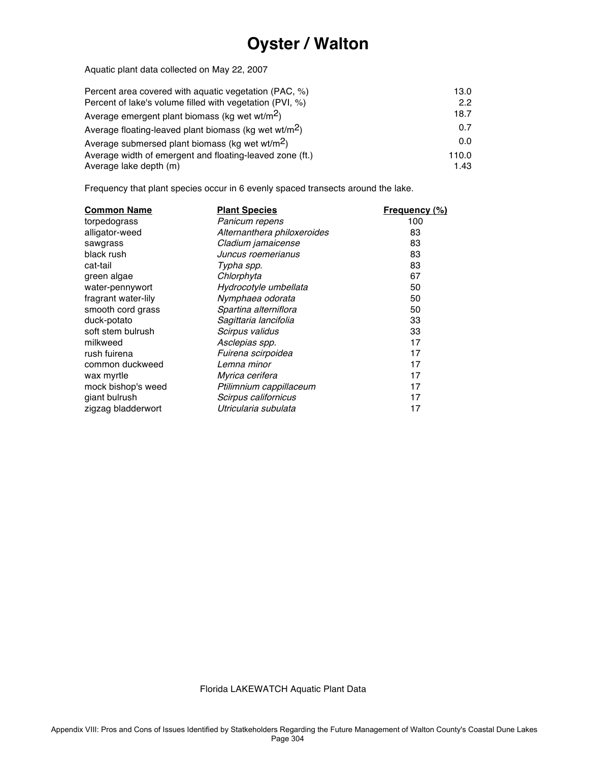# **Oyster / Walton**

Aquatic plant data collected on May 22, 2007

| Percent area covered with aguatic vegetation (PAC, %)             | 13.0  |
|-------------------------------------------------------------------|-------|
| Percent of lake's volume filled with vegetation (PVI, %)          | 2.2   |
| Average emergent plant biomass (kg wet wt/m <sup>2</sup> )        | 18.7  |
| Average floating-leaved plant biomass (kg wet wt/m <sup>2</sup> ) | 0.7   |
| Average submersed plant biomass (kg wet wt/m <sup>2</sup> )       | 0.0   |
| Average width of emergent and floating-leaved zone (ft.)          | 110.0 |
| Average lake depth (m)                                            | 1.43  |

Frequency that plant species occur in 6 evenly spaced transects around the lake.

| <b>Common Name</b>  | <b>Plant Species</b>        | <b>Frequency (%)</b> |
|---------------------|-----------------------------|----------------------|
| torpedograss        | Panicum repens              | 100                  |
| alligator-weed      | Alternanthera philoxeroides | 83                   |
| sawgrass            | Cladium jamaicense          | 83                   |
| black rush          | Juncus roemerianus          | 83                   |
| cat-tail            | Typha spp.                  | 83                   |
| green algae         | Chlorphyta                  | 67                   |
| water-pennywort     | Hydrocotyle umbellata       | 50                   |
| fragrant water-lily | Nymphaea odorata            | 50                   |
| smooth cord grass   | Spartina alterniflora       | 50                   |
| duck-potato         | Sagittaria lancifolia       | 33                   |
| soft stem bulrush   | Scirpus validus             | 33                   |
| milkweed            | Asclepias spp.              | 17                   |
| rush fuirena        | Fuirena scirpoidea          | 17                   |
| common duckweed     | Lemna minor                 | 17                   |
| wax myrtle          | <i>Myrica cerifera</i>      | 17                   |
| mock bishop's weed  | Ptilimnium cappillaceum     | 17                   |
| giant bulrush       | Scirpus californicus        | 17                   |
| zigzag bladderwort  | Utricularia subulata        | 17                   |